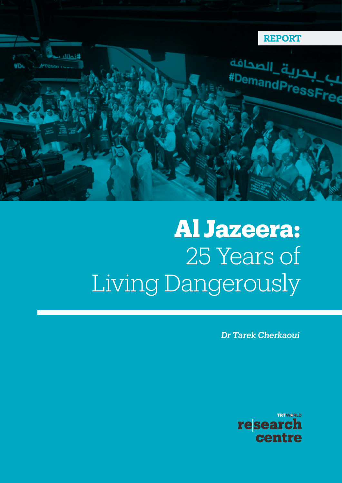

# **Al Jazeera:** 25 Years of Living Dangerously

*Dr Tarek Cherkaoui*

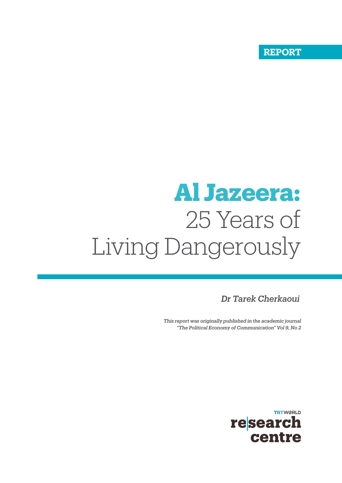**DISCUSSION PAPER REPORT**

# **Al Jazeera:** 25 Years of Living Dangerously

*Dr Tarek Cherkaoui*

*This report was originally published in the academic journal "The Political Economy of Communication" Vol 9, No 2* 

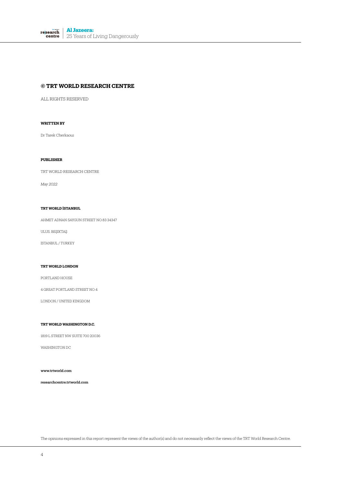**Al Jazeera:** research 25 Years of Living Dangerously

#### **© TRT WORLD RESEARCH CENTRE**

ALL RIGHTS RESERVED

#### **WRITTEN BY**

Dr Tarek Cherkaoui

#### **PUBLISHER**

TRT WORLD RESEARCH CENTRE

*May 2022*

#### **TRT WORLD İSTANBUL**

AHMET ADNAN SAYGUN STREET NO:83 34347

ULUS, BEŞİKTAŞ

İSTANBUL / TURKEY

#### **TRT WORLD LONDON**

PORTLAND HOUSE

4 GREAT PORTLAND STREET NO:4

LONDON / UNITED KINGDOM

#### **TRT WORLD WASHINGTON D.C.**

1819 L STREET NW SUITE 700 20036

WASHINGTON DC

www.trtworld.com

researchcentre.trtworld.com

The opinions expressed in this report represent the views of the author(s) and do not necessarily reflect the views of the TRT World Research Centre.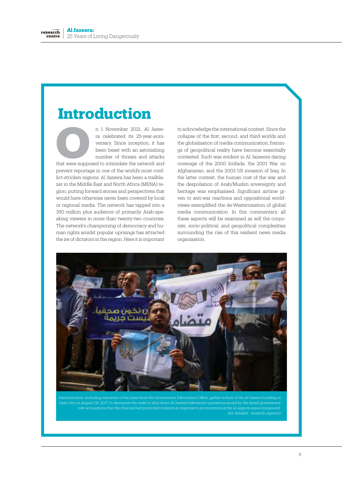# **Introduction**

n 1 November 2021, Al Jazeera celebrated its 25-year-anniversary. Since inception, it has been beset with an astonishing number of threats and attacks It I November 2021, Al Jazeera celebrated its 25-year-anni-<br>versary. Since inception, it has<br>been beset with an astonishing<br>number of threats and attacks<br>that were supposed to intimidate the network and

prevent reportage in one of the world's most conflict-stricken regions. Al Jazeera has been a trailblazer in the Middle East and North Africa (MENA) region, putting forward stories and perspectives that would have otherwise never been covered by local or regional media. The network has tapped into a 350 million plus audience of primarily Arab-speaking viewers in more than twenty-two countries. The network's championing of democracy and human rights amidst popular uprisings has attracted the ire of dictators in the region. Here it is important

to acknowledge the international context. Since the collapse of the first, second, and third worlds and the globalisation of media communication, framings of geopolitical reality have become essentially contested. Such was evident in Al Jazeera's daring coverage of the 2000 Intifada, the 2001 War on Afghanistan, and the 2003 US invasion of Iraq. In the latter context, the human cost of the war and the despoliation of Arab/Muslim sovereignty and heritage was emphasised. Significant airtime given to anti-war reactions and oppositional worldviews exemplified the de-Westernisation of global media communication. In this commentary, all these aspects will be examined as will the corporate, socio-political, and geopolitical complexities surrounding the rise of this resilient news media organisation.



*Gaza City on August 08, 2017, to denounce the order to shut down Al Jazeera television's operations issued by the Israeli government over accusations that the channel had promoted violence in response to provocations at the al-Aqsa mosque compound. (Ali Jadallah - Anadolu Agency)*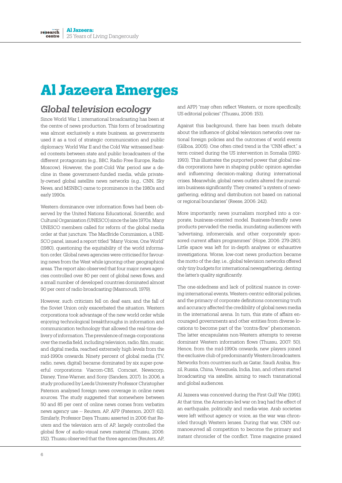# **Al Jazeera Emerges**

#### *Global television ecology*

Since World War I, international broadcasting has been at the centre of news production. This form of broadcasting was almost exclusively a state business, as governments used it as a tool of strategic communication and public diplomacy. World War II and the Cold War witnessed heated contests between state and public broadcasters of the different protagonists (e.g., BBC, Radio Free Europe, Radio Moscow). However, the post-Cold War period saw a decline in these government-funded media, while privately-owned global satellite news networks (e.g., CNN, Sky News, and MSNBC) came to prominence in the 1980s and early 1990s.

Western dominance over information flows had been observed by the United Nations Educational, Scientific, and Cultural Organisation (UNESCO) since the late 1970s. Many UNESCO members called for reform of the global media order at that juncture. The MacBride Commission, a UNE-SCO panel, issued a report titled "Many Voices, One World" (1980), questioning the equitability of the world information order. Global news agencies were criticised for favouring news from the West while ignoring other geographical areas. The report also observed that four major news agencies controlled over 80 per cent of global news flows, and a small number of developed countries dominated almost 90 per cent of radio broadcasting (Masmoudi, 1979).

However, such criticism fell on deaf ears, and the fall of the Soviet Union only exacerbated the situation. Western corporations took advantage of the new world order while enjoying technological breakthroughs in information and communication technology that allowed the real-time delivery of information. The prevalence of mega-corporations over the media field, including television, radio, film, music, and digital media, reached extremely high levels from the mid-1990s onwards. Ninety percent of global media (TV, radio, news, digital) became dominated by six super-powerful corporations: Viacom-CBS, Comcast, Newscorp, Disney, Time-Warner, and Sony (Sanders, 2017). In 2006, a study produced by Leeds University Professor Christopher Paterson analysed foreign news coverage in online news sources. The study suggested that somewhere between 50 and 85 per cent of online news comes from verbatim news agency use -- Reuters, AP, AFP (Paterson, 2007: 62). Similarly, Professor Daya Thussu asserted in 2006 that Reuters and the television arm of AP, largely controlled the global flow of audio-visual news material (Thussu, 2006: 152). Thussu observed that the three agencies (Reuters, AP,

and AFP) "may often reflect Western, or more specifically, US editorial policies" (Thussu, 2006: 153).

Against this background, there has been much debate about the influence of global television networks over national foreign policies and the outcomes of world events (Gilboa, 2005). One often cited trend is the "CNN effect," a term coined during the US intervention in Somalia (1992- 1993). This illustrates the purported power that global media corporations have in shaping public opinion agendas and influencing decision-making during international crises. Meanwhile, global news outlets altered the journalism business significantly. They created "a system of newsgathering, editing and distribution not based on national or regional boundaries" (Reese, 2006: 242).

More importantly, news journalism morphed into a corporate, business-oriented model. Business-friendly news products pervaded the media, inundating audiences with "advertising, infomercials, and other corporately sponsored current affairs programmes" (Hope, 2006: 279-280). Little space was left for in-depth analyses or exhaustive investigations. Worse, low-cost news production became the motto of the day, i.e., global television networks offered only tiny budgets for international newsgathering, denting the latter's quality significantly.

The one-sidedness and lack of political nuance in covering international events, Western-centric editorial policies, and the primacy of corporate definitions concerning truth and accuracy affected the credibility of global news media in the international arena. In turn, this state of affairs encouraged governments and other entities from diverse locations to become part of the "contra-flow" phenomenon. The latter encapsulates non-Western attempts to reverse dominant Western information flows (Thussu, 2007: 50). Hence, from the mid-1990s onwards, new players joined the exclusive club of predominantly Western broadcasters. Networks from countries such as Qatar, Saudi Arabia, Brazil, Russia, China, Venezuela, India, Iran, and others started broadcasting via satellite, aiming to reach transnational and global audiences.

Al Jazeera was conceived during the First Gulf War (1991). At that time, the American-led war on Iraq had the effect of an earthquake, politically and media-wise. Arab societies were left without agency or voice, as the war was chronicled through Western lenses. During that war, CNN outmanoeuvred all competition to become the primary and instant chronicler of the conflict. Time magazine praised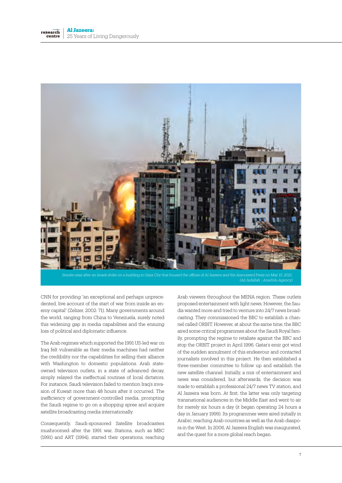

*Smoke rises after an Israeli strike on a building in Gaza City that housed the offices of Al Jazeera and the Associated Press on May 15, 2021. (Ali Jadallah - Anadolu Agency)*

CNN for providing "an exceptional and perhaps unprecedented, live account of the start of war from inside an enemy capital" (Zelizer, 2002: 71). Many governments around the world, ranging from China to Venezuela, surely noted this widening gap in media capabilities and the ensuing loss of political and diplomatic influence.

The Arab regimes which supported the 1991 US-led war on Iraq felt vulnerable as their media machines had neither the credibility nor the capabilities for selling their alliance with Washington to domestic populations. Arab stateowned television outlets, in a state of advanced decay, simply relayed the ineffectual routines of local dictators. For instance, Saudi television failed to mention Iraq's invasion of Kuwait more than 48 hours after it occurred. The inefficiency of government-controlled media, prompting the Saudi regime to go on a shopping spree and acquire satellite broadcasting media internationally.

Consequently, Saudi-sponsored Satellite broadcasters mushroomed after the 1991 war. Stations, such as MBC (1991) and ART (1994), started their operations, reaching Arab viewers throughout the MENA region. These outlets proposed entertainment with light news. However, the Saudis wanted more and tried to venture into 24/7 news broadcasting. They commissioned the BBC to establish a channel called ORBIT. However, at about the same time, the BBC aired some critical programmes about the Saudi Royal family, prompting the regime to retaliate against the BBC and stop the ORBIT project in April 1996. Qatar's emir got wind of the sudden annulment of this endeavour and contacted journalists involved in this project. He then established a three-member committee to follow up and establish the new satellite channel. Initially, a mix of entertainment and news was considered, but afterwards, the decision was made to establish a professional 24/7 news TV station, and Al Jazeera was born. At first, the latter was only targeting transnational audiences in the Middle East and went to air for merely six hours a day (it began operating 24 hours a day in January 1999). Its programmes were aired initially in Arabic, reaching Arab countries as well as the Arab diaspora in the West. In 2006, Al Jazeera English was inaugurated, and the quest for a more global reach began.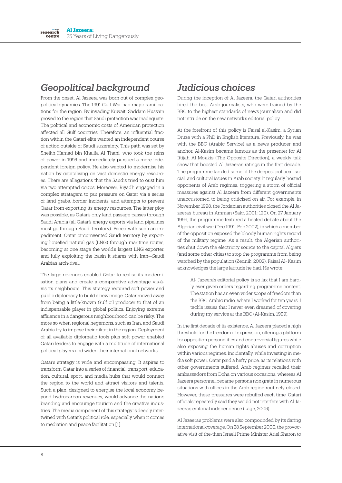## *Geopolitical background*

From the onset, Al Jazeera was born out of complex geopolitical dynamics. The 1991 Gulf War had major ramifications for the region. By invading Kuwait, Saddam Hussain proved to the region that Saudi protection was inadequate. The political and economic costs of American protection affected all Gulf countries. Therefore, an influential fraction within the Qatari elite wanted an independent course of action outside of Saudi suzerainty. This path was set by Sheikh Hamad bin Khalifa Al Thani, who took the reins of power in 1995 and immediately pursued a more independent foreign policy. He also wanted to modernise his nation by capitalising on vast domestic energy resources. There are allegations that the Saudis tried to oust him via two attempted coups. Moreover, Riyadh engaged in a complex stratagem to put pressure on Qatar via a series of land grabs, border incidents, and attempts to prevent Qatar from exporting its energy resources. The latter ploy was possible, as Qatar's only land passage passes through Saudi Arabia (all Qatar's energy exports via land pipelines must go through Saudi territory). Faced with such an impediment, Qatar circumvented Saudi territory by exporting liquefied natural gas (LNG) through maritime routes, becoming at one stage the world's largest LNG exporter, and fully exploiting the basin it shares with Iran—Saudi Arabia's arch-rival.

The large revenues enabled Qatar to realise its modernisation plans and create a comparative advantage vis-àvis its neighbours. This strategy required soft power and public diplomacy to build a new image. Qatar moved away from being a little-known Gulf oil producer to that of an indispensable player in global politics. Enjoying extreme affluence in a dangerous neighbourhood can be risky. The more so when regional hegemons, such as Iran, and Saudi Arabia try to impose their diktat in the region. Deployment of all available diplomatic tools plus soft power enabled Qatari leaders to engage with a multitude of international political players and widen their international networks.

Qatar's strategy is wide and encompassing. It aspires to transform Qatar into a series of financial, transport, education, cultural, sport, and media hubs that would connect the region to the world and attract visitors and talents. Such a plan, designed to energise the local economy beyond hydrocarbon revenues, would advance the nation's branding and encourage tourism and the creative industries. The media component of this strategy is deeply intertwined with Qatar's political role, especially when it comes to mediation and peace facilitation [1].

#### *Judicious choices*

During the inception of Al Jazeera, the Qatari authorities hired the best Arab journalists, who were trained by the BBC to the highest standards of news journalism and did not intrude on the new network's editorial policy.

At the forefront of this policy is Faisal al-Kasim, a Syrian Druze with a PhD in English literature. Previously, he was with the BBC (Arabic Service) as a news producer and anchor. Al-Kasim became famous as the presenter for Al Ittijah Al Mo'akis (The Opposite Direction), a weekly talk show that boosted Al Jazeera's ratings in the first decade. The programme tackled some of the deepest political, social, and cultural issues in Arab society. It regularly hosted opponents of Arab regimes, triggering a storm of official measures against Al Jazeera from different governments unaccustomed to being criticised on air. For example, in November 1998, the Jordanian authorities closed the Al Jazeera's bureau in Amman (Sakr, 2001: 120). On 27 January 1999, the programme featured a heated debate about the Algerian civil war (Dec 1991- Feb 2002), in which a member of the opposition exposed the bloody human rights record of the military regime. As a result, the Algerian authorities shut down the electricity source to the capital Algiers (and some other cities) to stop the programme from being watched by the population (Zednik, 2002). Faisal Al- Kasim acknowledges the large latitude he had. He wrote:

> Al- Jazeera's editorial policy is so lax that I am hardly ever given orders regarding programme content. The station has an even wider scope of freedom than the BBC Arabic radio, where I worked for ten years. I tackle issues that I never even dreamed of covering during my service at the BBC (Al-Kasim, 1999).

In the first decade of its existence, Al Jazeera placed a high threshold for the freedom of expression, offering a platform for opposition personalities and controversial figures while also exposing the human rights abuses and corruption within various regimes. Incidentally, while investing in media soft power, Qatar paid a hefty price, as its relations with other governments suffered. Arab regimes recalled their ambassadors from Doha on various occasions, whereas Al Jazeera personnel became persona non grata in numerous situations with offices in the Arab region routinely closed. However, these pressures were rebuffed each time. Qatari officials repeatedly said they would not interfere with Al Jazeera's editorial independence (Lage, 2005).

Al Jazeera's problems were also compounded by its daring international coverage. On 28 September 2000, the provocative visit of the-then Israeli Prime Minister Ariel Sharon to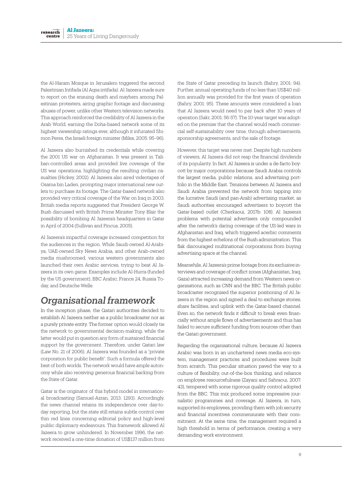the Al-Haram Mosque in Jerusalem triggered the second Palestinian Intifada (Al Aqsa intifada). Al Jazeera made sure to report on the ensuing death and mayhem among Palestinian protesters, airing graphic footage and discussing abuses of power, unlike other Western television networks. This approach reinforced the credibility of Al Jazeera in the Arab World, earning the Doha-based network some of its highest viewership ratings ever, although it infuriated Shimon Peres, the Israeli foreign minister (Miles, 2005: 95–96).

Al Jazeera also burnished its credentials while covering the 2001 US war on Afghanistan. It was present in Taliban-controlled areas and provided live coverage of the US war operations, highlighting the resulting civilian casualties (Hickey, 2002). Al Jazeera also aired videotapes of Osama bin Laden, prompting major international new outlets to purchase its footage. The Qatar-based network also provided very critical coverage of the War on Iraq in 2003. British media reports suggested that President George W. Bush discussed with British Prime Minister Tony Blair the possibility of bombing Al Jazeera's headquarters in Qatar in April of 2004 (Sullivan and Pincus, 2005).

Al Jazeera's impactful coverage increased competition for the audiences in the region. While Saudi-owned Al-Arabiya, UAE-owned Sky News Arabia, and other Arab-owned media mushroomed, various western governments also launched their own Arabic services, trying to beat Al Jazeera in its own game. Examples include Al-Hurra (funded by the US government), BBC Arabic, France 24, Russia Today, and Deutsche Welle.

## *Organisational framework*

In the inception phase, the Qatari authorities decided to establish Al Jazeera neither as a public broadcaster nor as a purely private entity. The former option would closely tie the network to governmental decision-making, while the latter would put in question any form of sustained financial support by the government. Therefore, under Qatari law (Law No. 21 of 2006), Al Jazeera was founded as a "private corporation for public benefit". Such a formula offered the best of both worlds. The network would have ample autonomy while also receiving generous financial backing from the State of Qatar.

Qatar is the originator of this hybrid model in international broadcasting (Samuel-Azran, 2013: 1293). Accordingly, the news channel retains its independence over day-today reporting, but the state still retains subtle control over thin red lines concerning editorial policy and high-level public diplomacy endeavours. This framework allowed Al Jazeera to grow unhindered. In November 1996, the network received a one-time donation of US\$137 million from

the State of Qatar preceding its launch (Bahry, 2001: 94). Further, annual operating funds of no less than US\$40 million annually was provided for the first years of operation (Bahry, 2001: 95). These amounts were considered a loan that Al Jazeera would need to pay back after 10 years of operation (Sakr, 2001: 56-57). The 10-year target was adopted on the premise that the channel would reach commercial self-sustainability over time, through advertisements, sponsorship agreements, and the sale of footage.

However, this target was never met. Despite high numbers of viewers, Al Jazeera did not reap the financial dividends of its popularity. In fact, Al Jazeera is under a de-facto boycott by major corporations because Saudi Arabia controls the largest media, public relations, and advertising portfolio in the Middle East. Tensions between Al Jazeera and Saudi Arabia prevented the network from tapping into the lucrative Saudi (and pan-Arab) advertising market, as Saudi authorities encouraged advertisers to boycott the Qatar-based outlet (Cherkaoui, 2017b: 108). Al Jazeera's problems with potential advertisers only compounded after the network's daring coverage of the US-led wars in Afghanistan and Iraq, which triggered acerbic comments from the highest echelons of the Bush administration. This flak discouraged multinational corporations from buying advertising space at the channel.

Meanwhile, Al Jazeera's prime footage from its exclusive interviews and coverage of conflict zones (Afghanistan, Iraq, Gaza) attracted increasing demand from Western news organisations, such as CNN and the BBC. The British public broadcaster recognised the superior positioning of Al Jazeera in the region and signed a deal to exchange stories, share facilities, and uplink with the Qatar-based channel. Even so, the network finds it difficult to break even financially without ample flows of advertisements and thus has failed to secure sufficient funding from sources other than the Qatari government.

Regarding the organisational culture, because Al Jazeera Arabic was born in an unchartered news media eco-system, management practices and procedures were built from scratch. This peculiar situation paved the way to a culture of flexibility, out-of-the-box thinking, and reliance on employee resourcefulness (Zayani and Sahraoui, 2007: 43), tempered with some rigorous quality control adopted from the BBC. This mix produced some impressive journalistic programmes and coverage. Al Jazeera, in turn, supported its employees, providing them with job security and financial incentives commensurate with their commitment. At the same time, the management required a high threshold in terms of performance, creating a very demanding work environment.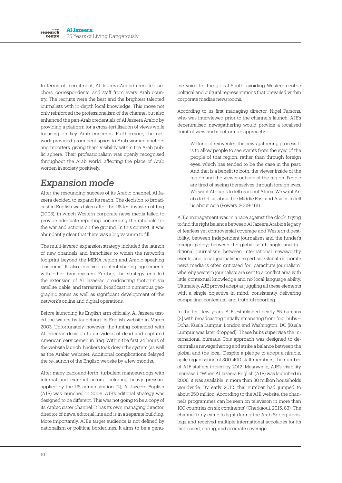In terms of recruitment, Al Jazeera Arabic recruited anchors, correspondents, and staff from every Arab country. The recruits were the best and the brightest talented journalists with in-depth local knowledge. This move not only reinforced the professionalism of the channel but also enhanced the pan-Arab credentials of Al Jazeera Arabic by providing a platform for a cross-fertilisation of views while focusing on key Arab concerns. Furthermore, the network provided prominent space to Arab women anchors and reporters, giving them visibility within the Arab public sphere. Their professionalism was openly recognised throughout the Arab world, affecting the place of Arab women in society positively.

## *Expansion mode*

After the resounding success of its Arabic channel, Al Jazeera decided to expand its reach. The decision to broadcast in English was taken after the US-led invasion of Iraq (2003), in which Western corporate news media failed to provide adequate reporting concerning the rationale for the war and actions on the ground. In this context, it was abundantly clear that there was a big vacuum to fill.

The multi-layered expansion strategy included the launch of new channels and franchises to widen the network's footprint beyond the MENA region and Arabic-speaking diasporas. It also involved content-sharing agreements with other broadcasters. Further, the strategy entailed the extension of Al Jazeera's broadcasting footprint via satellite, cable, and terrestrial broadcast in numerous geographic zones as well as significant development of the network's online and digital operations.

Before launching its English arm officially, Al Jazeera tested the waters by launching its English website in March 2003. Unfortunately, however, the timing coincided with Al Jazeera's decision to air videos of dead and captured American servicemen in Iraq. Within the first 24 hours of the website launch, hackers took down the system (as well as the Arabic website). Additional complications delayed the re-launch of the English website by a few months.

After many back-and-forth, turbulent manoeuvrings with internal and external actors, including heavy pressure applied by the US administration [2], Al Jazeera English (AJE) was launched in 2006. AJE's editorial strategy was designed to be different. This was not going to be a copy of its Arabic sister channel. It has its own managing director, director of news, editorial line and is in a separate building. More importantly, AJE's target audience is not defined by nationalism or political borderlines. It aims to be a genuine voice for the global South, avoiding Western-centric political and cultural representations that prevailed within corporate media's newsrooms.

According to its first managing director, Nigel Parsons, who was interviewed prior to the channel's launch, AJE's decentralised newsgathering would provide a localised point-of-view and a bottom-up approach:

> We kind of reinvented the news gathering process. It is to allow people to see events from the eyes of the people of that region, rather than through foreign eyes, which has tended to be the case in the past. And that is a benefit to both, the viewer inside of the region and the viewer outside of the region. People are tired of seeing themselves through foreign eyes. We want Africans to tell us about Africa. We want Arabs to tell us about the Middle East and Asians to tell us about Asia (Powers, 2009: 161).

AJE's management was in a race against the clock, trying to find the right balance between Al Jazeera Arabic's legacy of fearless yet controversial coverage and Western digestibility; between independent journalism and the funder's foreign policy; between the global south angle and traditional journalism; between international newsworthy events and local journalistic expertise. Global corporate news media is often criticised for "parachute journalism" whereby western journalists are sent to a conflict area with little contextual knowledge and no local language ability. Ultimately, AJE proved adept at juggling all these elements with a single objective in mind: consistently delivering compelling, contextual, and truthful reporting.

In the first few years, AJE established nearly 65 bureaus [3] with broadcasting initially emanating from four hubs-Doha, Kuala Lumpur, London and Washington, DC (Kuala Lumpur was later dropped). These hubs supervise the international bureaus. This approach was designed to decentralise newsgathering and strike a balance between the global and the local. Despite a pledge to adopt a nimble, agile organisation of 300-400 staff members, the number of AJE staffers tripled by 2012. Meanwhile, AJE's visibility increased. "When Al Jazeera English (AJE) was launched in 2006, it was available in more than 80 million households worldwide. By early 2012, this number had jumped to about 250 million. According to the AJE website, the channel's programmes can be seen on television in more than 100 countries on six continents" (Cherkaoui, 2015: 83). The channel truly came to light during the Arab Spring uprisings and received multiple international accolades for its fast-paced, daring, and accurate coverage.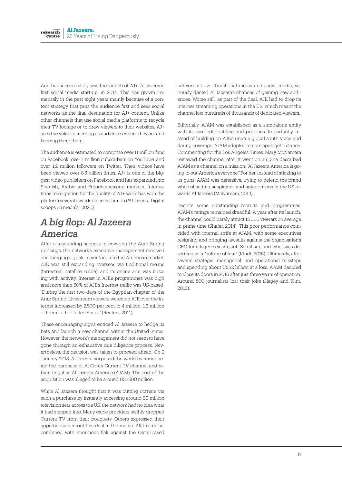Another success story was the launch of AJ+, Al Jazeera's first social media start-up, in 2014. This has grown immensely in the past eight years mainly because of a content strategy that puts the audience first and sees social networks as the final destination for AJ+ content. Unlike other channels that use social media platforms to recycle their TV footage or to draw viewers to their websites, AJ+ sees the value in meeting its audiences where they are and keeping them there.

The audience is estimated to comprise over 11 million fans on Facebook, over 1 million subscribers on YouTube, and over 1.2 million followers on Twitter. Their videos have been viewed over 8.5 billion times. AJ+ is one of the biggest video publishers on Facebook and has expanded into Spanish, Arabic and French-speaking markets. International recognition for the quality of AJ+ work has won the platform several awards since its launch ("Al Jazeera Digital scoops 35 medals", 2020).

## *A big flop: Al Jazeera America*

After a resounding success in covering the Arab Spring uprisings, the network's executive management received encouraging signals to venture into the American market. AJE was still expanding overseas via traditional means (terrestrial, satellite, cable), and its online arm was buzzing with activity. Interest in AJE's programmes was high and more than 50% of AJE's Internet traffic was US-based. "During the first two days of the Egyptian chapter of the Arab Spring, Livestream viewers watching AJE over the internet increased by 2,500 per cent to 4 million, 1.6 million of them in the United States" (Reuters, 2011).

These encouraging signs enticed Al Jazeera to hedge its bets and launch a new channel within the United States. However, the network's management did not seem to have gone through an exhaustive due diligence process. Nevertheless, the decision was taken to proceed ahead. On 2 January 2013, Al Jazeera surprised the world by announcing the purchase of Al Gore's Current TV channel and rebranding it as Al Jazeera America (AJAM). The cost of the acquisition was alleged to be around US\$500 million.

While Al Jazeera thought that it was cutting corners via such a purchase by instantly accessing around 60 million television sets across the US, the network had no idea what it had stepped into. Many cable providers swiftly dropped Current TV from their bouquets. Others expressed their apprehension about this deal in the media. All this noise, combined with enormous flak against the Qatar-based

network all over traditional media and social media, seriously dented Al Jazeera's chances of gaining new audiences. Worse still, as part of the deal, AJE had to drop its internet streaming operations in the US, which meant the channel lost hundreds of thousands of dedicated viewers.

Editorially, AJAM was established as a standalone entity with its own editorial line and priorities. Importantly, instead of building on AJE's unique global south voice and daring coverage, AJAM adopted a more apologetic stance. Commenting for the Los Angeles Times, Mary McNamara reviewed the channel after it went on air. She described AJAM as a channel on a mission: "Al Jazeera America is going to out-America everyone." For her, instead of sticking to its guns, AJAM was defensive, trying to defend the brand while offsetting suspicions and antagonisms in the US towards Al Jazeera (McNamara, 2013).

Despite some outstanding recruits and programmes, AJAM's ratings remained dreadful. A year after its launch, the channel could barely attract 15,000 viewers on average in prime time (Shafer, 2014). This poor performance coincided with internal strife at AJAM, with some executives resigning and bringing lawsuits against the organisation's CEO for alleged sexism, anti-Semitism, and what was described as a "culture of fear" (Kludt, 2015). Ultimately, after several strategic, managerial, and operational missteps and spending about US\$2 billion at a loss, AJAM decided to close its doors in 2016 after just three years of operation. Around 800 journalists lost their jobs (Hagey and Flint,  $2016$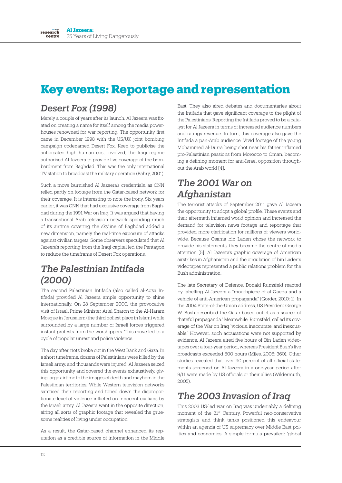## **Key events: Reportage and representation**

#### *Desert Fox (1998)*

Merely a couple of years after its launch, Al Jazeera was fixated on creating a name for itself among the media powerhouses renowned for war reporting. The opportunity first came in December 1998 with the US/UK joint bombing campaign codenamed Desert Fox. Keen to publicise the anticipated high human cost involved, the Iraqi regime authorised Al Jazeera to provide live coverage of the bombardment from Baghdad. This was the only international TV station to broadcast the military operation (Bahry, 2001).

Such a move burnished Al Jazeera's credentials, as CNN relied partly on footage from the Qatar-based network for their coverage. It is interesting to note the irony. Six years earlier, it was CNN that had exclusive coverage from Baghdad during the 1991 War on Iraq. It was argued that having a transnational Arab television network spending much of its airtime covering the skyline of Baghdad added a new dimension, namely the real-time exposure of attacks against civilian targets. Some observers speculated that Al Jazeera's reporting from the Iraqi capital led the Pentagon to reduce the timeframe of Desert Fox operations.

#### *The Palestinian Intifada (2000)*

The second Palestinian Intifada (also called al-Aqsa Intifada) provided Al Jazeera ample opportunity to shine internationally. On 28 September 2000, the provocative visit of Israeli Prime Minister Ariel Sharon to the Al-Haram Mosque in Jerusalem (the third holiest place in Islam) while surrounded by a large number of Israeli forces triggered instant protests from the worshippers. This move led to a cycle of popular unrest and police violence.

The day after, riots broke out in the West Bank and Gaza. In a short timeframe, dozens of Palestinians were killed by the Israeli army, and thousands were injured. Al Jazeera seized this opportunity and covered the events exhaustively, giving large airtime to the images of death and mayhem in the Palestinian territories. While Western television networks sanitised their reporting and toned down the disproportionate level of violence inflicted on innocent civilians by the Israeli army, Al Jazeera went in the opposite direction, airing all sorts of graphic footage that revealed the gruesome realities of living under occupation.

As a result, the Qatar-based channel enhanced its reputation as a credible source of information in the Middle

East. They also aired debates and documentaries about the Intifada that gave significant coverage to the plight of the Palestinians. Reporting the Intifada proved to be a catalyst for Al Jazeera in terms of increased audience numbers and ratings revenue. In turn, this coverage also gave the Intifada a pan-Arab audience. Vivid footage of the young Mohammed al-Durra being shot near his father inflamed pro-Palestinian passions from Morocco to Oman, becoming a defining moment for anti-Israel opposition throughout the Arab world [4].

#### *The 2001 War on Afghanistan*

The terrorist attacks of September 2011 gave Al Jazeera the opportunity to adopt a global profile. These events and their aftermath inflamed world opinion and increased the demand for television news footage and reportage that provided more clarification for millions of viewers worldwide. Because Osama bin Laden chose the network to provide his statements, they became the centre of media attention [5]. Al Jazeera's graphic coverage of American airstrikes in Afghanistan and the circulation of bin Laden's videotapes represented a public relations problem for the Bush administration.

The late Secretary of Defence, Donald Rumsfeld reacted by labelling Al-Jazeera a "mouthpiece of al Qaeda and a vehicle of anti-American propaganda" (Gorder, 2010: 1). In the 2004 State-of-the-Union address, US President George W. Bush described the Qatar-based outlet as a source of "hateful propaganda." Meanwhile, Rumsfeld, called its coverage of the War on Iraq "vicious, inaccurate, and inexcusable." However, such accusations were not supported by evidence. Al Jazeera aired five hours of Bin Laden videotapes over a four-year period, whereas President Bush's live broadcasts exceeded 500 hours (Miles, 2005: 360). Other studies revealed that over 90 percent of all official statements screened on Al Jazeera in a one-year period after 9/11 were made by US officials or their allies (Wildermuth,  $2005$ 

#### *The 2003 Invasion of Iraq*

This 2003 US-led war on Iraq was undeniably a defining moment of the 21st Century. Powerful neo-conservative strategists and think tanks positioned this endeavour within an agenda of US supremacy over Middle East politics and economies. A simple formula prevailed: "global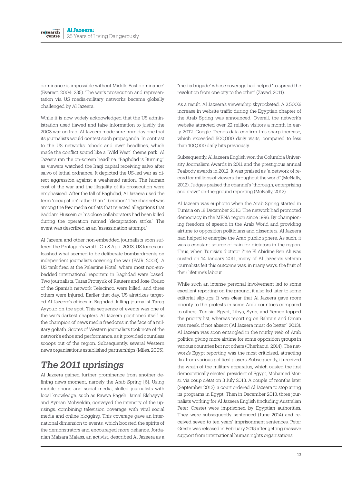dominance is impossible without Middle East dominance" (Everest, 2004: 235). The war's prosecution and representation via US media-military networks became globally challenged by Al Jazeera.

While it is now widely acknowledged that the US administration used flawed and false information to justify the 2003 war on Iraq, Al Jazeera made sure from day one that its journalists would contest such propaganda. In contrast to the US networks' "shock and awe" headlines, which made the conflict sound like a "Wild West" theme park, Al Jazeera ran the on-screen headline, "Baghdad is Burning," as viewers watched the Iraqi capital receiving salvo after salvo of lethal ordnance. It depicted the US-led war as direct aggression against a weakened nation. The human cost of the war and the illegality of its prosecution were emphasised. After the fall of Baghdad, Al Jazeera used the term "occupation" rather than "liberation." The channel was among the few media outlets that rejected allegations that Saddam Hussein or his close collaborators had been killed during the operation named "decapitation strike." The event was described as an "assassination attempt."

Al Jazeera and other non-embedded journalists soon suffered the Pentagon's wrath. On 8 April 2003, US forces unleashed what seemed to be deliberate bombardments on independent journalists covering the war (FAIR, 2003). A US tank fired at the Palestine Hotel, where most non-embedded international reporters in Baghdad were based. Two journalists, Taras Protsyuk of Reuters and Jose Couso of the Spanish network Telecinco, were killed, and three others were injured. Earlier that day, US airstrikes targeted Al Jazeera's offices in Baghdad, killing journalist Tareq Ayyoub on the spot. This sequence of events was one of the war's darkest chapters. Al Jazeera positioned itself as the champion of news media freedoms in the face of a military goliath. Scores of Western journalists took note of the network's ethos and performance, as it provided countless scoops out of the region. Subsequently, several Western news organisations established partnerships (Miles, 2005).

#### *The 2011 uprisings*

Al Jazeera gained further prominence from another defining news moment, namely the Arab Spring [6]. Using mobile phone and social media, skilled journalists with local knowledge, such as Rawya Rageh, Jamal Elshayyal, and Ayman Mohyeldin, conveyed the intensity of the uprisings, combining television coverage with viral social media and online blogging. This coverage gave an international dimension to events, which boosted the spirits of the demonstrators and encouraged more defiance. Jordanian Maisara Malass, an activist, described Al Jazeera as a

"media brigade" whose coverage had helped "to spread the revolution from one city to the other" (Zayed, 2011).

As a result, Al Jazeera's viewership skyrocketed. A 2,500% increase in website traffic during the Egyptian chapter of the Arab Spring was announced. Overall, the network's website attracted over 22 million visitors a month in early 2012. Google Trends data confirm this sharp increase, which exceeded 500,000 daily visits, compared to less than 100,000 daily hits previously.

Subsequently, Al Jazeera English won the Columbia University Journalism Awards in 2011 and the prestigious annual Peabody awards in 2012. It was praised as "a network of record for millions of viewers throughout the world" (McNally, 2012). Judges praised the channel's "thorough, enterprising and brave" on-the-ground reporting (McNally, 2012).

Al Jazeera was euphoric when the Arab Spring started in Tunisia on 18 December 2010. The network had promoted democracy in the MENA region since 1996. By championing freedom of speech in the Arab World and providing airtime to opposition politicians and dissenters, Al Jazeera had helped to energise the Arab public sphere. As such, it was a constant source of pain for dictators in the region. Thus, when Tunisia's dictator Zine El Abidine Ben Ali was ousted on 14 January 2011, many of Al Jazeera's veteran journalists felt this outcome was, in many ways, the fruit of their lifetime's labour.

While such an intense personal involvement led to some excellent reporting on the ground, it also led later to some editorial slip-ups. It was clear that Al Jazeera gave more priority to the protests in some Arab countries compared to others. Tunisia, Egypt, Libya, Syria, and Yemen topped the priority list, whereas reporting on Bahrain and Oman was meek, if not absent ("Al Jazeera must do better," 2013). Al Jazeera was soon entangled in the murky web of Arab politics, giving more airtime for some opposition groups in various countries but not others (Cherkaoui, 2014). The network's Egypt reporting was the most criticised, attracting flak from various political players. Subsequently, it received the wrath of the military apparatus, which ousted the first democratically elected president of Egypt, Mohamed Morsi, via coup d'état on 3 July 2013. A couple of months later (September 2013), a court ordered Al Jazeera to stop airing its programs in Egypt. Then in December 2013, three journalists working for Al Jazeera English (including Australian Peter Greste) were imprisoned by Egyptian authorities. They were subsequently sentenced (June 2014) and received seven to ten years' imprisonment sentences. Peter Greste was released in February 2015 after getting massive support from international human rights organisations.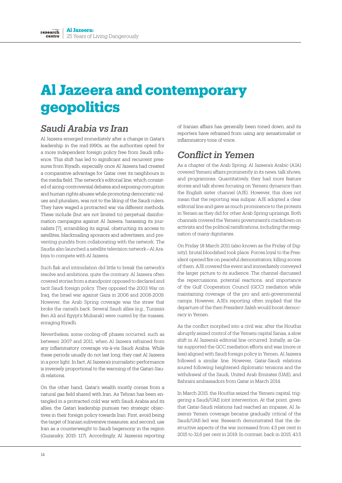# **Al Jazeera and contemporary geopolitics**

### *Saudi Arabia vs Iran*

Al Jazeera emerged immediately after a change in Qatar's leadership in the mid-1990s, as the authorities opted for a more independent foreign policy free from Saudi influence. This shift has led to significant and recurrent pressures from Riyadh, especially once Al Jazeera had created a comparative advantage for Qatar over its neighbours in the media field. The network's editorial line, which consisted of airing controversial debates and exposing corruption and human rights abuses while promoting democratic values and pluralism, was not to the liking of the Saudi rulers. They have waged a protracted war via different methods. These include (but are not limited to) perpetual disinformation campaigns against Al Jazeera, harassing its journalists [7], scrambling its signal, obstructing its access to satellites, blackmailing sponsors and advertisers, and preventing pundits from collaborating with the network. The Saudis also launched a satellite television network—Al Arabiya to compete with Al Jazeera.

Such flak and intimidation did little to break the network's resolve and ambitions, quite the contrary. Al Jazeera often covered stories from a standpoint opposed to declared and tacit Saudi foreign policy. They opposed the 2003 War on Iraq, the Israel war against Gaza in 2006 and 2008-2009. However, the Arab Spring coverage was the straw that broke the camel's back. Several Saudi allies (e.g., Tunisia's Ben Ali and Egypt's Mubarak) were ousted by the masses, enraging Riyadh.

Nevertheless, some cooling-off phases occurred, such as between 2007 and 2011, when Al Jazeera refrained from any inflammatory coverage vis-à-vis Saudi Arabia. While these periods usually do not last long, they cast Al Jazeera in a poor light. In fact, Al Jazeera's journalistic performance is inversely proportional to the warming of the Qatari-Saudi relations.

On the other hand, Qatar's wealth mostly comes from a natural gas field shared with Iran. As Tehran has been entangled in a protracted cold war with Saudi Arabia and its allies, the Qatari leadership pursues two strategic objectives in their foreign policy towards Iran: First, avoid being the target of Iranian subversive measures; and second, use Iran as a counterweight to Saudi hegemony in the region (Guzansky, 2015: 117). Accordingly, Al Jazeera's reporting

of Iranian affairs has generally been toned down, and its reporters have refrained from using any sensationalist or inflammatory tone of voice.

#### *Conflict in Yemen*

As a chapter of the Arab Spring, Al Jazeera's Arabic (AJA) covered Yemeni affairs prominently in its news, talk shows, and programmes. Quantitatively, they had more feature stories and talk shows focusing on Yemeni dynamics than the English sister channel (AJE). However, this does not mean that the reporting was subpar; AJE adopted a clear editorial line and gave as much prominence to the protests in Yemen as they did for other Arab Spring uprisings. Both channels covered the Yemeni government's crackdown on activists and the political ramifications, including the resignation of many dignitaries.

On Friday 18 March 2011 (also known as the Friday of Dignity), brutal bloodshed took place. Forces loyal to the President opened fire on peaceful demonstrators, killing scores of them. AJE covered the event and immediately conveyed the larger picture to its audience. The channel discussed the repercussions, potential reactions, and importance of the Gulf Cooperation Council (GCC) mediation while maintaining coverage of the pro and anti-governmental camps. However, AJE's reporting often implied that the departure of the then President Saleh would boost democracy in Yemen.

As the conflict morphed into a civil war, after the Houthis abruptly seized control of the Yemeni capital Sanaa, a slow shift in Al Jazeera's editorial line occurred. Initially, as Qatar supported the GCC mediation efforts and was (more or less) aligned with Saudi foreign policy in Yemen, Al Jazeera followed a similar line. However, Qatar-Saudi relations soured following heightened diplomatic tensions and the withdrawal of the Saudi, United Arab Emirates (UAE), and Bahraini ambassadors from Qatar in March 2014.

In March 2015, the Houthis seized the Yemeni capital, triggering a Saudi/UAE joint intervention. At that point, given that Qatar-Saudi relations had reached an impasse, Al Jazeera's Yemen coverage became gradually critical of the Saudi/UAE-led war. Research demonstrated that the destructive aspects of the war increased from 4,5 per cent in 2015 to 32,6 per cent in 2019. In contrast, back in 2015, 43.5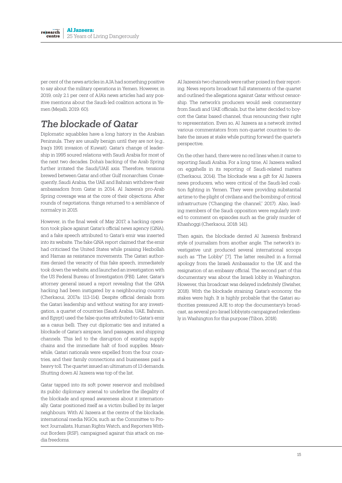per cent of the news articles in AJA had something positive to say about the military operations in Yemen. However, in 2019, only 2.1 per cent of AJA's news articles had any positive mentions about the Saudi-led coalition actions in Yemen (Mejalli, 2019: 60).

### *The blockade of Qatar*

Diplomatic squabbles have a long history in the Arabian Peninsula. They are usually benign until they are not (e.g., Iraq's 1991 invasion of Kuwait). Qatar's change of leadership in 1995 soured relations with Saudi Arabia for most of the next two decades. Doha's backing of the Arab Spring further irritated the Saudi/UAE axis. Therefore, tensions brewed between Qatar and other Gulf monarchies. Consequently, Saudi Arabia, the UAE and Bahrain withdrew their ambassadors from Qatar in 2014. Al Jazeera's pro-Arab Spring coverage was at the core of their objections. After rounds of negotiations, things returned to a semblance of normalcy in 2015.

However, in the final week of May 2017, a hacking operation took place against Qatar's official news agency (QNA), and a fake speech attributed to Qatar's emir was inserted into its website. The fake QNA report claimed that the emir had criticised the United States while praising Hezbollah and Hamas as resistance movements. The Qatari authorities denied the veracity of this fake speech, immediately took down the website, and launched an investigation with the US Federal Bureau of Investigation (FBI). Later, Qatar's attorney general issued a report revealing that the QNA hacking had been instigated by a neighbouring country (Cherkaoui, 2017a: 113-114). Despite official denials from the Qatari leadership and without waiting for any investigation, a quartet of countries (Saudi Arabia, UAE, Bahrain, and Egypt) used the false quotes attributed to Qatar's emir as a casus belli. They cut diplomatic ties and initiated a blockade of Qatar's airspace, land passages, and shipping channels. This led to the disruption of existing supply chains and the immediate halt of food supplies. Meanwhile, Qatari nationals were expelled from the four countries, and their family connections and businesses paid a heavy toll. The quartet issued an ultimatum of 13 demands. Shutting down Al Jazeera was top of the list.

Qatar tapped into its soft power reservoir and mobilised its public diplomacy arsenal to underline the illegality of the blockade and spread awareness about it internationally. Qatar positioned itself as a victim bullied by its larger neighbours. With Al Jazeera at the centre of the blockade, international media NGOs, such as the Committee to Protect Journalists, Human Rights Watch, and Reporters Without Borders (RSF), campaigned against this attack on media freedoms.

Al Jazeera's two channels were rather poised in their reporting. News reports broadcast full statements of the quartet and outlined the allegations against Qatar without censorship. The network's producers would seek commentary from Saudi and UAE officials, but the latter decided to boycott the Qatar based channel, thus renouncing their right to representation. Even so, Al Jazeera as a network invited various commentators from non-quartet countries to debate the issues at stake while putting forward the quartet's perspective.

On the other hand, there were no red lines when it came to reporting Saudi Arabia. For a long time, Al Jazeera walked on eggshells in its reporting of Saudi-related matters (Cherkaoui, 2014). The blockade was a gift for Al Jazeera news producers, who were critical of the Saudi-led coalition fighting in Yemen. They were providing substantial airtime to the plight of civilians and the bombing of critical infrastructure ("Changing the channel," 2017). Also, leading members of the Saudi opposition were regularly invited to comment on episodes such as the grisly murder of Khashoggi (Cherkaoui, 2018: 141).

Then again, the blockade dented Al Jazeera's firebrand style of journalism from another angle. The network's investigative unit produced several international scoops such as "The Lobby" [7]. The latter resulted in a formal apology from the Israeli Ambassador to the UK and the resignation of an embassy official. The second part of this documentary was about the Israeli lobby in Washington. However, this broadcast was delayed indefinitely (Swisher, 2018). With the blockade straining Qatar's economy, the stakes were high. It is highly probable that the Qatari authorities pressured AJE to stop the documentary's broadcast, as several pro-Israel lobbyists campaigned relentlessly in Washington for this purpose (Tibon, 2018).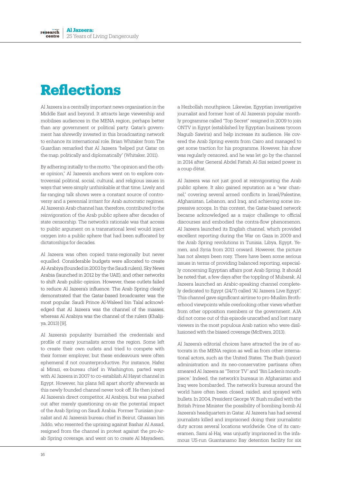# **Reflections**

Al Jazeera is a centrally important news organisation in the Middle East and beyond. It attracts large viewership and mobilises audiences in the MENA region, perhaps better than any government or political party. Qatar's government has shrewdly invested in this broadcasting network to enhance its international role. Brian Whitaker from The Guardian remarked that Al Jazeera "helped put Qatar on the map, politically and diplomatically" (Whitaker, 2011).

By adhering initially to the motto, "the opinion and the other opinion," Al Jazeera's anchors went on to explore controversial political, social, cultural, and religious issues in ways that were simply unthinkable at that time. Lively and far-ranging talk shows were a constant source of controversy and a perennial irritant for Arab autocratic regimes. Al Jazeera's Arab channel has, therefore, contributed to the reinvigoration of the Arab public sphere after decades of state censorship. The network's rationale was that access to public argument on a transnational level would inject oxygen into a public sphere that had been suffocated by dictatorships for decades.

Al Jazeera was often copied trans-regionally but never equalled. Considerable budgets were allocated to create Al-Arabiya (founded in 2003 by the Saudi rulers), Sky News Arabia (launched in 2012 by the UAE), and other networks to shift Arab public opinion. However, these outlets failed to reduce Al Jazeera's influence. The Arab Spring clearly demonstrated that the Qatar-based broadcaster was the most popular. Saudi Prince Al-Waleed bin Talal acknowledged that Al Jazeera was the channel of the masses, whereas Al Arabiya was the channel of the rulers (Khalijiya, 2013) [9].

Al Jazeera's popularity burnished the credentials and profile of many journalists across the region. Some left to create their own outlets and tried to compete with their former employer, but these endeavours were often ephemeral if not counterproductive. For instance, Hafez al Mirazi, ex-bureau chief in Washington, parted ways with Al Jazeera in 2007 to co-establish Al Hayat channel in Egypt. However, his plans fell apart shortly afterwards as this newly founded channel never took off. He then joined Al Jazeera's direct competitor, Al Arabiya, but was pushed out after merely questioning on-air the potential impact of the Arab Spring on Saudi Arabia. Former Tunisian journalist and Al Jazeera's bureau chief in Beirut, Ghassan bin Jiddo, who resented the uprising against Bashar Al Assad, resigned from the channel in protest against the pro-Arab Spring coverage, and went on to create Al Mayadeen,

a Hezbollah mouthpiece. Likewise, Egyptian investigative journalist and former host of Al Jazeera's popular monthly programme called "Top Secret" resigned in 2009 to join ONTV in Egypt (established by Egyptian business tycoon Naguib Sawiris) and help increase its audience. He covered the Arab Spring events from Cairo and managed to get some traction for his programme. However, his show was regularly censored, and he was let go by the channel in 2014 after General Abdel Fattah Al-Sisi seized power in a coup d'état.

Al Jazeera was not just good at reinvigorating the Arab public sphere. It also gained reputation as a "war channel," covering several armed conflicts in Israel/Palestine, Afghanistan, Lebanon, and Iraq, and achieving some impressive scoops. In this context, the Qatar-based network became acknowledged as a major challenge to official discourses and embodied the contra-flow phenomenon. Al Jazeera launched its English channel, which provided excellent reporting during the War on Gaza in 2009 and the Arab Spring revolutions in Tunisia, Libya, Egypt, Yemen, and Syria from 2011 onward. However, the picture has not always been rosy. There have been some serious issues in terms of providing balanced reporting, especially concerning Egyptian affairs post Arab Spring. It should be noted that, a few days after the toppling of Mubarak, Al Jazeera launched an Arabic-speaking channel completely dedicated to Egypt (24/7) called "Al Jazeera Live Egypt". This channel gave significant airtime to pro-Muslim Brotherhood viewpoints while overlooking other views whether from other opposition members or the government. AJA did not come out of this episode unscathed and lost many viewers in the most populous Arab nation who were disillusioned with the biased coverage (McEvers, 2013).

Al Jazeera's editorial choices have attracted the ire of autocrats in the MENA region as well as from other international actors, such as the United States. The Bush (junior) administration and its neo-conservative partisans often smeared Al Jazeera as "Terror TV" and "Bin Laden's mouthpiece." Indeed, the network's bureaus in Afghanistan and Iraq were bombarded. The network's bureaus around the world have often been closed, raided, and sprayed with bullets. In 2004, President George W. Bush mulled with the British Prime Minister the possibility of bombing bomb Al Jazeera's headquarters in Qatar. Al Jazeera has had several journalists killed and imprisoned doing their journalistic duty across several locations worldwide. One of its cameramen, Sami al-Haj, was unjustly imprisoned in the infamous US-run Guantanamo Bay detention facility for six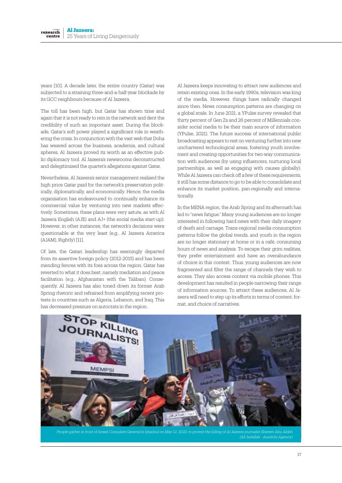years [10]. A decade later, the entire country (Qatar) was subjected to a straining three-and-a-half-year blockade by its GCC neighbours because of Al Jazeera.

The toll has been high, but Qatar has shown time and again that it is not ready to rein in the network and dent the credibility of such an important asset. During the blockade, Qatar's soft power played a significant role in weathering the crisis. In conjunction with the vast web that Doha has weaved across the business, academia, and cultural spheres, Al Jazeera proved its worth as an effective public diplomacy tool. Al Jazeera's newsrooms deconstructed and delegitimised the quartet's allegations against Qatar.

Nevertheless, Al Jazeera's senior management realised the high price Qatar paid for the network's preservation politically, diplomatically, and economically. Hence, the media organisation has endeavoured to continually enhance its commercial value by venturing into new markets effectively. Sometimes, these plans were very astute, as with Al Jazeera English (AJE) and AJ+ (the social media start-up). However, in other instances, the network's decisions were questionable at the very least (e.g., Al Jazeera America (AJAM), Rightly) [11].

Of late, the Qatari leadership has seemingly departed from its assertive foreign policy (2012-2015) and has been mending fences with its foes across the region. Qatar has reverted to what it does best, namely mediation and peace facilitation (e.g., Afghanistan with the Taliban). Consequently, Al Jazeera has also toned down its former Arab Spring rhetoric and refrained from amplifying recent protests in countries such as Algeria, Lebanon, and Iraq. This has decreased pressure on autocrats in the region.

Al Jazeera keeps innovating to attract new audiences and retain existing ones. In the early 1990s, television was king of the media. However, things have radically changed since then. News consumption patterns are changing on a global scale. In June 2021, a YPulse survey revealed that thirty percent of Gen Zs and 26 percent of Millennials consider social media to be their main source of information (YPulse, 2021). The future success of international public broadcasting appears to rest on venturing further into new unchartered technological areas, fostering youth involvement and creating opportunities for two-way communication with audiences (by using influencers, nurturing local partnerships, as well as engaging with causes globally). While Al Jazeera can check off a few of these requirements, it still has some distance to go to be able to consolidate and enhance its market position, pan-regionally and internationally.

In the MENA region, the Arab Spring and its aftermath has led to "news fatigue." Many young audiences are no longer interested in following hard news with their daily imagery of death and carnage. Trans-regional media consumption patterns follow the global trends, and youth in the region are no longer stationary at home or in a café, consuming hours of news and analysis. To escape their grim realities, they prefer entertainment and have an overabundance of choice in this context. Thus, young audiences are now fragmented and filter the range of channels they wish to access. They also access content via mobile phones. This development has resulted in people narrowing their range of information sources. To attract these audiences, Al Jazeera will need to step up its efforts in terms of content, format, and choice of narratives.



*People gather in front of Israeli Consulate General in Istanbul on May 12, 2022, to protest the killing of Al Jazeera journalist Shireen Abu Akleh (Ali Jadallah - Anadolu Agency)*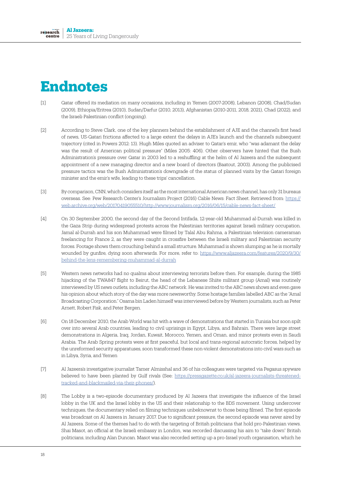# **Endnotes**

- [1] Qatar offered its mediation on many occasions, including in Yemen (2007-2008), Lebanon (2008), Chad/Sudan (2009), Ethiopia/Eritrea (2010), Sudan/Darfur (2010, 2013), Afghanistan (2010-2011, 2018, 2021), Chad (2022), and the Israeli-Palestinian conflict (ongoing).
- [2] According to Steve Clark, one of the key planners behind the establishment of AJE and the channel's first head of news, US-Qatari frictions affected to a large extent the delays in AJE's launch and the channel's subsequent trajectory (cited in Powers 2012: 13). Hugh Miles quoted an adviser to Qatar's emir, who "was adamant the delay was the result of American political pressure" (Miles 2005: 406). Other observers have hinted that the Bush Administration's pressure over Qatar in 2003 led to a reshuffling at the helm of Al Jazeera and the subsequent appointment of a new managing director and a new board of directors (Baatout, 2003). Among the publicised pressure tactics was the Bush Administration's downgrade of the status of planned visits by the Qatari foreign minister and the emir's wife, leading to these trips' cancellation.
- [3] By comparison, CNN, which considers itself as the most international American news channel, has only 31 bureaus overseas. See: Pew Research Center's Journalism Project (2016) Cable News: Fact Sheet. Retrieved from: https:// web.archive.org/web/20170419055510/http://www.journalism.org/2016/06/15/cable-news-fact-sheet/
- [4] On 30 September 2000, the second day of the Second Intifada, 12-year-old Muhammad al-Durrah was killed in the Gaza Strip during widespread protests across the Palestinian territories against Israeli military occupation. Jamal al-Durrah and his son Muhammad were filmed by Talal Abu Rahma, a Palestinian television cameraman freelancing for France 2, as they were caught in crossfire between the Israeli military and Palestinian security forces. Footage shows them crouching behind a small structure. Muhammad is shown slumping as he is mortally wounded by gunfire, dying soon afterwards. For more, refer to: https://www.aljazeera.com/features/2020/9/30/ behind-the-lens-remembering-muhammad-al-durrah
- [5] Western news networks had no qualms about interviewing terrorists before then. For example, during the 1985 hijacking of the TWA847 flight to Beirut, the head of the Lebanese Shiite militant group (Amal) was routinely interviewed by US news outlets, including the ABC network. He was invited to the ABC news shows and even gave his opinion about which story of the day was more newsworthy. Some hostage families labelled ABC as the "Amal Broadcasting Corporation." Osama bin Laden himself was interviewed before by Western journalists, such as Peter Arnett, Robert Fisk, and Peter Bergen.
- [6] On 18 December 2010, the Arab World was hit with a wave of demonstrations that started in Tunisia but soon spilt over into several Arab countries, leading to civil uprisings in Egypt, Libya, and Bahrain. There were large street demonstrations in Algeria, Iraq, Jordan, Kuwait, Morocco, Yemen, and Oman, and minor protests even in Saudi Arabia. The Arab Spring protests were at first peaceful, but local and trans-regional autocratic forces, helped by the unreformed security apparatuses, soon transformed these non-violent demonstrations into civil wars such as in Libya, Syria, and Yemen
- [7] Al Jazeera's investigative journalist Tamer Almisshal and 36 of his colleagues were targeted via Pegasus spyware believed to have been planted by Gulf rivals (See: https://pressgazette.co.uk/al-jazeera-journalists-threatenedtracked-and-blackmailed-via-their-phones/).
- [8] The Lobby is a two-episode documentary produced by Al Jazeera that investigate the influence of the Israel lobby in the UK and the Israel lobby in the US and their relationship to the BDS movement. Using undercover techniques, the documentary relied on filming techniques unbeknownst to those being filmed. The first episode was broadcast on Al Jazeera in January 2017. Due to significant pressure, the second episode was never aired by Al Jazeera. Some of the themes had to do with the targeting of British politicians that hold pro-Palestinian views. Shai Masot, an official at the Israeli embassy in London, was recorded discussing his aim to "take down" British politicians, including Alan Duncan. Masot was also recorded setting up a pro-Israel youth organisation, which he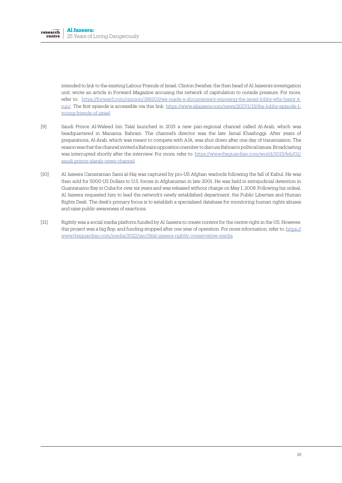intended to link to the existing Labour Friends of Israel. Clinton Swisher, the then head of Al Jazeera's investigation unit, wrote an article in Forward Magazine accusing the network of capitulation to outside pressure. For more, refer to: https://forward.com/opinion/396203/we-made-a-documentary-exposing-the-israel-lobby-why-hasnt-itrun/. The first episode is accessible via this link: https://www.aljazeera.com/news/2017/1/15/the-lobby-episode-1 young-friends-of-israel

- [9] Saudi Prince Al-Waleed bin Talal launched in 2015 a new pan-regional channel called Al-Arab, which was headquartered in Manama, Bahrain. The channel's director was the late Jamal Khashoggi. After years of preparations, Al-Arab, which was meant to compete with AJA, was shut down after one day of transmission. The reason was that the channel invited a Bahraini opposition member to discuss Bahrain's political issues. Broadcasting was interrupted shortly after the interview. For more, refer to: https://www.theguardian.com/world/2015/feb/02/ saudi-prince-alarab-news-channel
- [10] Al Jazeera Cameraman Sami al-Haj was captured by pro-US Afghan warlords following the fall of Kabul. He was then sold for 5000 US Dollars to U.S. forces in Afghanistan in late 2001. He was held in extrajudicial detention in Guantanamo Bay in Cuba for over six years and was released without charge on May 1, 2008. Following his ordeal, Al Jazeera requested him to lead the network's newly established department: the Public Liberties and Human Rights Desk. The desk's primary focus is to establish a specialised database for monitoring human rights abuses and raise public awareness of exactions.
- [11] Rightly was a social media platform funded by Al Jazeera to create content for the centre-right in the US. However, this project was a big flop, and funding stopped after one year of operation. For more information, refer to: https:// www.theguardian.com/media/2022/jan/19/al-jazeera-rightly-conservative-media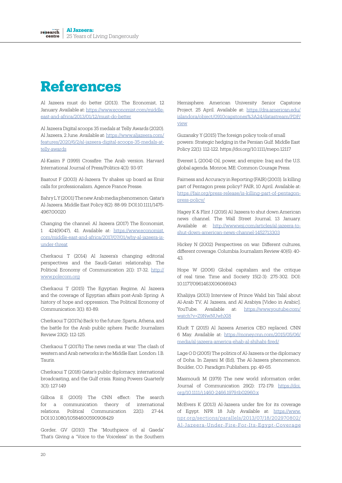# **References**

Al Jazeera must do better (2013). The Economist, 12 January. Available at: https://www.economist.com/middleeast-and-africa/2013/01/12/must-do-better

Al Jazeera Digital scoops 35 medals at Telly Awards (2020). Al Jazeera, 2 June. Available at: https://www.aljazeera.com/ features/2020/6/2/al-jazeera-digital-scoops-35-medals-attelly-awards

Al-Kasim F (1999) Crossfire: The Arab version. Harvard International Journal of Press/Politics 4(3): 93-97.

Baatout F (2003) Al-Jazeera Tv shakes up board as Emir calls for professionalism. Agence France Presse.

Bahry L Y (2001) The new Arab media phenomenon: Qatar's Al-Jazeera. Middle East Policy 8(2): 88-99. DOI:10.1111/1475- 4967.00020

Changing the channel: Al Jazeera (2017) The Economist, 1 424(9047), 41. Available at: https://www.economist. com/middle-east-and-africa/2017/07/01/why-al-jazeera-isunder-threat

Cherkaoui T (2014) Al Jazeera's changing editorial perspectives and the Saudi-Qatari relationship. The Political Economy of Communication 2(1): 17-32. http:// www.polecom.org

Cherkaoui T (2015) The Egyptian Regime, Al Jazeera and the coverage of Egyptian affairs post-Arab Spring: A history of hope and oppression. The Political Economy of Communication 3(1): 83-89.

Cherkaoui T (2017a) Back to the future: Sparta, Athena, and the battle for the Arab public sphere. Pacific Journalism Review 23(2): 112-125.

Cherkaoui T (2017b) The news media at war: The clash of western and Arab networks in the Middle East. London: I.B. Tauris.

Cherkaoui T (2018) Qatar's public diplomacy, international broadcasting, and the Gulf crisis. Rising Powers Quarterly 3(3): 127-149

Gilboa E (2005) The CNN effect: The search for a communication theory of international relations. Political Communication 22(1): 27-44. DOI:10.1080/10584600590908429

Gorder, GV (2010) The "Mouthpiece of al Qaeda" That's Giving a "Voice to the Voiceless" in the Southern Hemisphere. American University Senior Capstone Project. 25 April. Available at: https://dra.american.edu/ islandora/object/0910capstones%3A24/datastream/PDF/ view

Guzansky Y (2015) The foreign policy tools of small powers: Strategic hedging in the Persian Gulf. Middle East Policy 22(1): 112-122. https://doi.org/10.1111/mepo.12117

Everest L (2004) Oil, power, and empire: Iraq and the U.S. global agenda. Monroe, ME: Common Courage Press.

Fairness and Accuracy in Reporting (FAIR) (2003). Is killing part of Pentagon press policy? FAIR, 10 April. Available at: https://fair.org/press-release/is-killing-part-of-pentagonpress-policy/

Hagey K & Flint J (2016) Al Jazeera to shut down American news channel. The Wall Street Journal, 13 January. Available at: http://www.wsj.com/articles/al-jazeera-toshut-down-american-news-channel-1452713303

Hickey N (2002) Perspectives on war: Different cultures, different coverage. Columbia Journalism Review 40(6): 40- 43.

Hope W (2006) Global capitalism and the critique of real time. Time and Society 15(2-3): 275-302. DOI: 10.1177/0961463X06066943

Khalijiya (2013) Interview of Prince Walid bin Talal about Al-Arab TV, Al Jazeera, and Al Arabiya [Video in Arabic]. YouTube. Available at: https://www.youtube.com/ watch?v=Z9NwNUwhXl8

Kludt T (2015) Al Jazeera America CEO replaced. CNN 6 May. Available at: https://money.cnn.com/2015/05/06/ media/al-jazeera-america-ehab-al-shihabi-fired/

Lage O D (2005) The politics of Al-Jazeera or the diplomacy of Doha. In Zayani M (Ed), The Al-Jazeera phenomenon. Boulder, CO: Paradigm Publishers, pp. 49-65.

Masmoudi M (1979) The new world information order. Journal of Communication 29(2): 172-179. https://doi. org/10.1111/j.1460-2466.1979.tb02960.x

McEvers K (2013) Al-Jazeera under fire for its coverage of Egypt. NPR 18 July. Available at: https://www. npr.org/sections/parallels/2013/07/18/202970802/ Al-Jazeera-Under-Fire-For-Its-Egypt-Coverage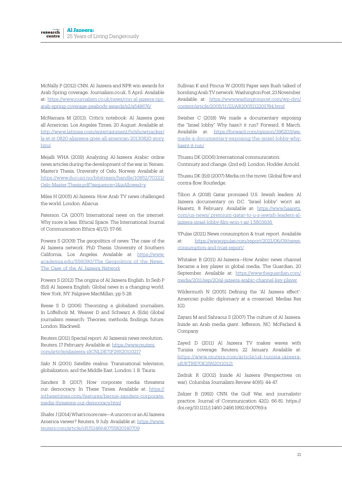McNally P (2012) CNN, Al Jazeera and NPR win awards for Arab Spring coverage. Journalism.co.uk, 5 April. Available at: https://www.journalism.co.uk/news/cnn-al-jazeera-nprarab-spring-coverage-peabody-awards/s2/a548676/

McNamara M (2013). Critic's notebook: Al Jazeera goes all American. Los Angeles Times, 20 August. Available at: http://www.latimes.com/entertainment/tv/showtracker/ la-et-st-0820-aljazeera-goes-all-american-20130820-story. html

Mejalli WHA (2019) Analyzing Al-Jazeera Arabic online news articles during the development of the war in Yemen. Master's Thesis, University of Oslo, Norway. Available at: https://www.duo.uio.no/bitstream/handle/10852/70323/ Oslo-Master-Thesis.pdf?sequence=1&isAllowed=y

Miles H (2005) Al-Jazeera: How Arab TV news challenged the world. London: Abacus.

Paterson CA (2007) International news on the internet: Why more is less. Ethical Space: The International Journal of Communication Ethics 4(1/2): 57-66.

Powers S (2009) The geopolitics of news: The case of the Al Jazeera network. PhD Thesis. University of Southern California, Los Angeles. Available at: https://www. academia.edu/556090/The Geopolitics of the News The Case of the Al Jazeera Network

Powers S (2012) The origins of Al Jazeera English. In Seib P (Ed) Al Jazeera English: Global news in a changing world. New York, NY: Palgrave MacMillan, pp 5-28.

Reese S D (2006) Theorizing a globalized journalism. In Löffelholz M, Weaver D and Schwarz A (Eds) Global journalism research: Theories, methods, findings, future. London: Blackwell.

Reuters (2011) Special report: Al Jazeera's news revolution. Reuters, 17 February. Available at: https://www.reuters. com/article/aljazeera-idCNLDE71F29S20110217

Sakr N (2001) Satellite realms: Transnational television, globalization, and the Middle East. London: I. B. Tauris.

Sanders B (2017) How corporate media threatens our democracy. In These Times. Available at: https:// inthesetimes.com/features/bernie-sanders-corporatemedia-threatens-our-democracy.html

Shafer J (2014) What's more rare—A unicorn or an Al Jazeera America viewer? Reuters, 9 July. Available at: https://www. reuters.com/article/idUS246640755820140709

Sullivan K and Pincus W (2005) Paper says Bush talked of bombing Arab TV network. Washington Post, 23 November. Available at: https://www.washingtonpost.com/wp-dyn/ content/article/2005/11/22/AR2005112201784.html

Swisher C (2018) We made a documentary exposing the "Israel lobby." Why hasn't it run? Forward, 8 March. Available at: https://forward.com/opinion/396203/wemade-a-documentary-exposing-the-israel-lobby-whyhasnt-it-run/

Thussu DK (2006) International communication: Continuity and change. (2nd ed). London: Hodder Arnold.

Thussu DK (Ed) (2007) Media on the move: Global flow and contra-flow. Routledge.

Tibon A (2018) Qatar promised U.S. Jewish leaders: Al Jazeera documentary on D.C. "Israel lobby" won't air. Haaretz, 8 February. Available at: https://www.haaretz. com/us-news/.premium-qatar-to-u-s-jewish-leaders-aljazeera-israel-lobby-film-won-t-air-1.5803936

YPulse (2021) News consumption & trust report. Available at: https://www.ypulse.com/report/2021/06/09/newsconsumption-and-trust-report/

Whitaker B (2011) Al-Jazeera—How Arabic news channel became a key player in global media. The Guardian, 20 September. Available at: https://www.theguardian.com/ media/2011/sep/20/al-jazeera-arabic-channel-key-player

Wildermuth N (2005) Defining the "Al Jazeera effect": American public diplomacy at a crossroad. Medias Res  $1(2)$ 

Zayani M and Sahraoui S (2007) The culture of Al Jazeera: Inside an Arab media giant. Jefferson, NC: McFarland & Company.

Zayed D (2011) Al Jazeera TV makes waves with Tunisia coverage. Reuters, 22 January. Available at: https://www.reuters.com/article/uk-tunisia-jazeeraidUKTRE70K25N20110121

Zednik R (2002) Inside Al Jazeera (Perspectives on war). Columbia Journalism Review 40(6): 44-47.

Zelizer B (1992) CNN, the Gulf War, and journalistic practice. Journal of Communication 42(1): 66-81. https:// doi.org/10.1111/j.1460-2466.1992.tb00769.x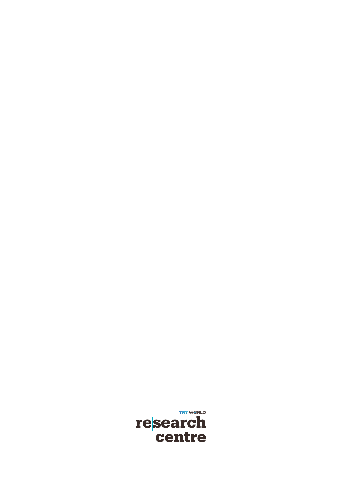